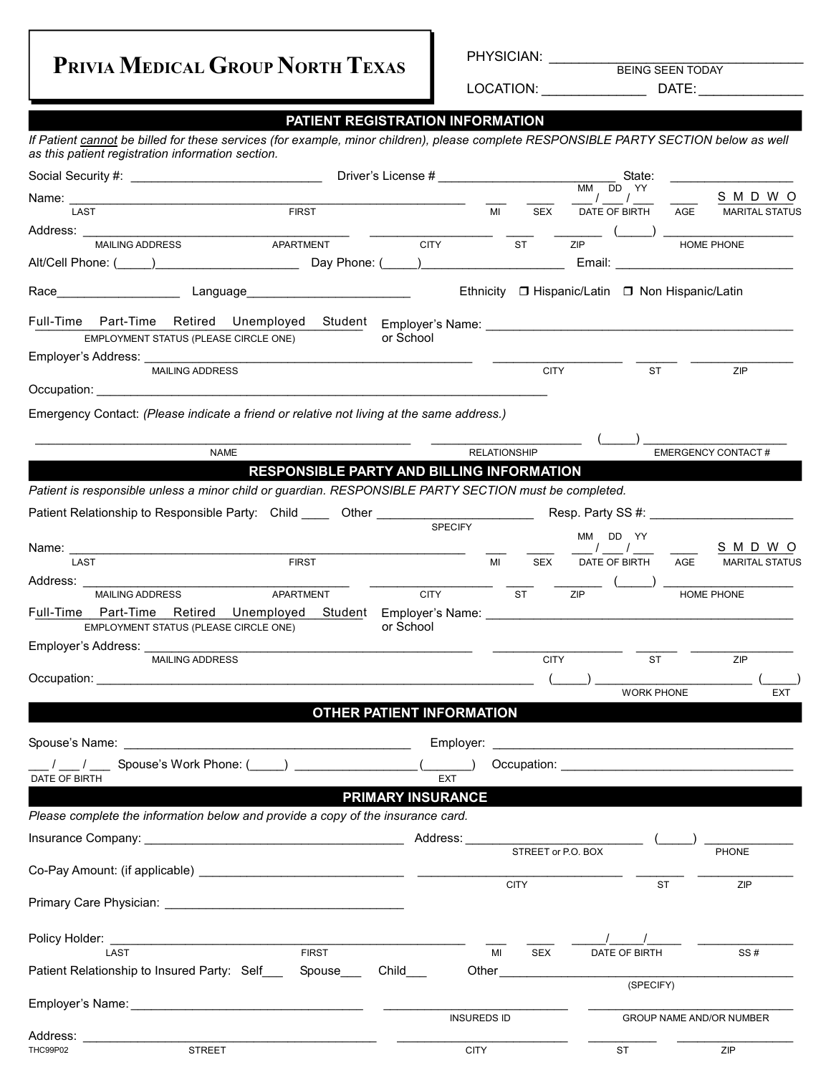**PRIVIA MEDICAL GROUP NORTH TEXAS**

PHYSICIAN: \_\_\_\_\_\_\_\_\_\_\_\_\_\_\_\_\_\_\_\_\_\_\_\_\_\_\_\_\_\_\_\_\_\_

BEING SEEN TODAY

LOCATION: \_\_\_\_\_\_\_\_\_\_\_\_\_\_ DATE: \_\_\_\_\_\_\_\_\_\_\_\_\_\_

|                                                                                                                                                                                            | PATIENT REGISTRATION INFORMATION                                                                                       |                          |                     |                                              |          |                                                 |                                  |
|--------------------------------------------------------------------------------------------------------------------------------------------------------------------------------------------|------------------------------------------------------------------------------------------------------------------------|--------------------------|---------------------|----------------------------------------------|----------|-------------------------------------------------|----------------------------------|
| If Patient cannot be billed for these services (for example, minor children), please complete RESPONSIBLE PARTY SECTION below as well<br>as this patient registration information section. |                                                                                                                        |                          |                     |                                              |          |                                                 |                                  |
|                                                                                                                                                                                            |                                                                                                                        |                          |                     |                                              |          | State:                                          |                                  |
|                                                                                                                                                                                            |                                                                                                                        |                          |                     | MM DD YY<br>$\frac{1}{\sqrt{1-\frac{1}{2}}}$ |          |                                                 | S M D W O                        |
| LAST                                                                                                                                                                                       | <b>FIRST</b>                                                                                                           |                          | MI                  | SEX                                          |          | DATE OF BIRTH AGE                               | <b>MARITAL STATUS</b>            |
| Address: MAILING ADDRESS APARTMENT CITY TY TELLET APARTMENT                                                                                                                                |                                                                                                                        |                          |                     |                                              |          |                                                 |                                  |
|                                                                                                                                                                                            |                                                                                                                        |                          |                     |                                              |          |                                                 | HOME PHONE                       |
|                                                                                                                                                                                            |                                                                                                                        |                          |                     |                                              |          |                                                 |                                  |
|                                                                                                                                                                                            |                                                                                                                        |                          |                     |                                              |          | Ethnicity □ Hispanic/Latin □ Non Hispanic/Latin |                                  |
|                                                                                                                                                                                            |                                                                                                                        |                          |                     |                                              |          |                                                 |                                  |
| EMPLOYMENT STATUS (PLEASE CIRCLE ONE)                                                                                                                                                      |                                                                                                                        | or School                |                     |                                              |          |                                                 |                                  |
|                                                                                                                                                                                            |                                                                                                                        |                          |                     |                                              |          |                                                 |                                  |
| <b>MAILING ADDRESS</b>                                                                                                                                                                     |                                                                                                                        |                          |                     | <b>CITY</b>                                  |          | <b>ST</b>                                       | ZIP                              |
|                                                                                                                                                                                            |                                                                                                                        |                          |                     |                                              |          |                                                 |                                  |
| Emergency Contact: (Please indicate a friend or relative not living at the same address.)                                                                                                  |                                                                                                                        |                          |                     |                                              |          |                                                 |                                  |
|                                                                                                                                                                                            |                                                                                                                        |                          |                     |                                              |          |                                                 |                                  |
| <b>NAME</b>                                                                                                                                                                                |                                                                                                                        |                          | <b>RELATIONSHIP</b> |                                              |          |                                                 | <b>EMERGENCY CONTACT#</b>        |
|                                                                                                                                                                                            | RESPONSIBLE PARTY AND BILLING INFORMATION                                                                              |                          |                     |                                              |          |                                                 |                                  |
| Patient is responsible unless a minor child or guardian. RESPONSIBLE PARTY SECTION must be completed.                                                                                      |                                                                                                                        |                          |                     |                                              |          |                                                 |                                  |
|                                                                                                                                                                                            |                                                                                                                        |                          |                     |                                              |          |                                                 |                                  |
|                                                                                                                                                                                            |                                                                                                                        | <b>SPECIFY</b>           |                     |                                              | MM DD YY |                                                 |                                  |
|                                                                                                                                                                                            |                                                                                                                        |                          |                     |                                              |          |                                                 | S M D W O                        |
| LAST                                                                                                                                                                                       | <b>FIRST</b>                                                                                                           |                          | MI                  | <b>SEX</b>                                   |          |                                                 | DATE OF BIRTH AGE MARITAL STATUS |
| Address: _______________<br>MAILING ADDRESS APARTMENT                                                                                                                                      |                                                                                                                        | <b>CITY</b>              |                     | <b>ST</b>                                    | ZIP      |                                                 | HOME PHONE                       |
|                                                                                                                                                                                            |                                                                                                                        |                          |                     |                                              |          |                                                 |                                  |
| EMPLOYMENT STATUS (PLEASE CIRCLE ONE)                                                                                                                                                      |                                                                                                                        | or School                |                     |                                              |          |                                                 |                                  |
| Employer's Address: _____________                                                                                                                                                          | <u> 1999 - Johann John Harry Harry Harry Harry Harry Harry Harry Harry Harry Harry Harry Harry Harry Harry Harry H</u> |                          |                     |                                              |          |                                                 |                                  |
| <b>MAILING ADDRESS</b>                                                                                                                                                                     |                                                                                                                        |                          |                     | <b>CITY</b>                                  |          | <b>ST</b>                                       | ZIP                              |
|                                                                                                                                                                                            |                                                                                                                        |                          |                     |                                              |          | <b>WORK PHONE</b>                               | <b>EXT</b>                       |
|                                                                                                                                                                                            | <b>OTHER PATIENT INFORMATION</b>                                                                                       |                          |                     |                                              |          |                                                 |                                  |
|                                                                                                                                                                                            |                                                                                                                        |                          |                     |                                              |          |                                                 |                                  |
|                                                                                                                                                                                            |                                                                                                                        |                          |                     |                                              |          |                                                 |                                  |
|                                                                                                                                                                                            |                                                                                                                        |                          |                     |                                              |          |                                                 |                                  |
| DATE OF BIRTH                                                                                                                                                                              |                                                                                                                        | <b>EXT</b>               |                     |                                              |          |                                                 |                                  |
|                                                                                                                                                                                            |                                                                                                                        | <b>PRIMARY INSURANCE</b> |                     |                                              |          |                                                 |                                  |
| Please complete the information below and provide a copy of the insurance card.                                                                                                            |                                                                                                                        |                          |                     |                                              |          |                                                 |                                  |
|                                                                                                                                                                                            |                                                                                                                        |                          |                     | STREET or P.O. BOX                           |          |                                                 |                                  |
|                                                                                                                                                                                            |                                                                                                                        |                          |                     |                                              |          |                                                 | <b>PHONE</b>                     |
|                                                                                                                                                                                            |                                                                                                                        |                          |                     | <b>CITY</b>                                  |          | <b>ST</b>                                       | ZIP                              |
|                                                                                                                                                                                            |                                                                                                                        |                          |                     |                                              |          |                                                 |                                  |
|                                                                                                                                                                                            |                                                                                                                        |                          |                     |                                              |          |                                                 |                                  |
|                                                                                                                                                                                            |                                                                                                                        |                          |                     |                                              |          |                                                 |                                  |
| LAST                                                                                                                                                                                       | <b>FIRST</b>                                                                                                           |                          | MI                  | <b>SEX</b>                                   |          | DATE OF BIRTH                                   | SS#                              |
| Patient Relationship to Insured Party: Self ___ Spouse ___ Child ___                                                                                                                       |                                                                                                                        |                          |                     |                                              |          | (SPECIFY)                                       |                                  |
| Employer's Name: William Communication and Communication and Communication and Communication and Communication                                                                             |                                                                                                                        |                          |                     |                                              |          |                                                 |                                  |
|                                                                                                                                                                                            |                                                                                                                        |                          | <b>INSUREDS ID</b>  |                                              |          |                                                 | <b>GROUP NAME AND/OR NUMBER</b>  |
|                                                                                                                                                                                            | <u> 1989 - Johann John Stein, mars et al. (</u>                                                                        |                          |                     |                                              |          |                                                 |                                  |
| <b>STREET</b><br><b>THC99P02</b>                                                                                                                                                           |                                                                                                                        | <b>CITY</b>              |                     |                                              |          | ST                                              | ZIP                              |